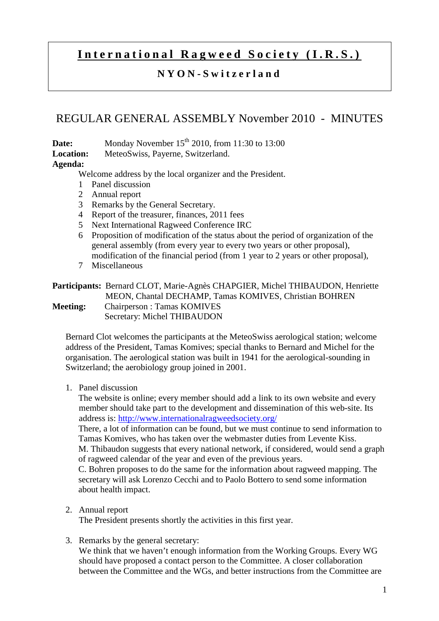# International Ragweed Society (I.R.S.)

## **N Y O N - S w i t z e r l a n d**

## REGULAR GENERAL ASSEMBLY November 2010 - MINUTES

**Date:** Monday November 15<sup>th</sup> 2010, from 11:30 to 13:00

**Location:** MeteoSwiss, Payerne, Switzerland.

### **Agenda:**

Welcome address by the local organizer and the President.

- 1 Panel discussion
- 2 Annual report
- 3 Remarks by the General Secretary.
- 4 Report of the treasurer, finances, 2011 fees
- 5 Next International Ragweed Conference IRC
- 6 Proposition of modification of the status about the period of organization of the general assembly (from every year to every two years or other proposal), modification of the financial period (from 1 year to 2 years or other proposal),
- 7 Miscellaneous

#### **Participants:** Bernard CLOT, Marie-Agnès CHAPGIER, Michel THIBAUDON, Henriette MEON, Chantal DECHAMP, Tamas KOMIVES, Christian BOHREN **Meeting:** Chairperson : Tamas KOMIVES Secretary: Michel THIBAUDON

Bernard Clot welcomes the participants at the MeteoSwiss aerological station; welcome address of the President, Tamas Komives; special thanks to Bernard and Michel for the organisation. The aerological station was built in 1941 for the aerological-sounding in Switzerland; the aerobiology group joined in 2001.

1. Panel discussion

The website is online; every member should add a link to its own website and every member should take part to the development and dissemination of this web-site. Its address is: http://www.internationalragweedsociety.org/

There, a lot of information can be found, but we must continue to send information to Tamas Komives, who has taken over the webmaster duties from Levente Kiss. M. Thibaudon suggests that every national network, if considered, would send a graph of ragweed calendar of the year and even of the previous years.

C. Bohren proposes to do the same for the information about ragweed mapping. The secretary will ask Lorenzo Cecchi and to Paolo Bottero to send some information about health impact.

2. Annual report

The President presents shortly the activities in this first year.

3. Remarks by the general secretary:

We think that we haven't enough information from the Working Groups. Every WG should have proposed a contact person to the Committee. A closer collaboration between the Committee and the WGs, and better instructions from the Committee are